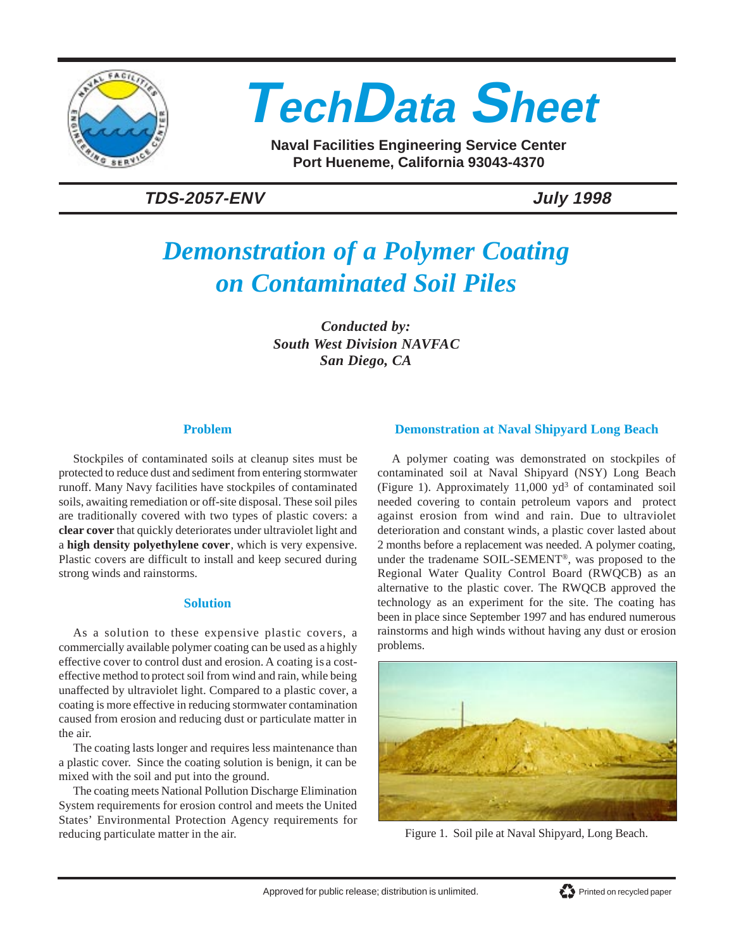

# **TechData Sheet**

**Naval Facilities Engineering Service Center Port Hueneme, California 93043-4370**

### **TDS-2057-ENV July 1998**

## *Demonstration of a Polymer Coating on Contaminated Soil Piles*

*Conducted by: South West Division NAVFAC San Diego, CA*

#### **Problem**

Stockpiles of contaminated soils at cleanup sites must be protected to reduce dust and sediment from entering stormwater runoff. Many Navy facilities have stockpiles of contaminated soils, awaiting remediation or off-site disposal. These soil piles are traditionally covered with two types of plastic covers: a **clear cover** that quickly deteriorates under ultraviolet light and a **high density polyethylene cover**, which is very expensive. Plastic covers are difficult to install and keep secured during strong winds and rainstorms.

#### **Solution**

As a solution to these expensive plastic covers, a commercially available polymer coating can be used as a highly effective cover to control dust and erosion. A coating is a costeffective method to protect soil from wind and rain, while being unaffected by ultraviolet light. Compared to a plastic cover, a coating is more effective in reducing stormwater contamination caused from erosion and reducing dust or particulate matter in the air.

The coating lasts longer and requires less maintenance than a plastic cover. Since the coating solution is benign, it can be mixed with the soil and put into the ground.

The coating meets National Pollution Discharge Elimination System requirements for erosion control and meets the United States' Environmental Protection Agency requirements for reducing particulate matter in the air.

#### **Demonstration at Naval Shipyard Long Beach**

A polymer coating was demonstrated on stockpiles of contaminated soil at Naval Shipyard (NSY) Long Beach (Figure 1). Approximately  $11,000$  yd<sup>3</sup> of contaminated soil needed covering to contain petroleum vapors and protect against erosion from wind and rain. Due to ultraviolet deterioration and constant winds, a plastic cover lasted about 2 months before a replacement was needed. A polymer coating, under the tradename SOIL-SEMENT®, was proposed to the Regional Water Quality Control Board (RWQCB) as an alternative to the plastic cover. The RWQCB approved the technology as an experiment for the site. The coating has been in place since September 1997 and has endured numerous rainstorms and high winds without having any dust or erosion problems.



Figure 1. Soil pile at Naval Shipyard, Long Beach.